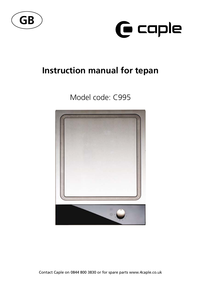



# **Instruction manual for tepan**

## Model code: C995



Contact Caple on 0844 800 3830 or for spare parts www.4caple.co.uk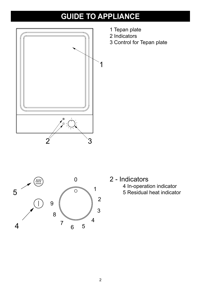# **GUIDE TO APPLIANCE**



- 1 Tepan plate
- 2 Indicators
- 3 Control for Tepan plate



2 - Indicators 4 In-operation indicator 5 Residual heat indicator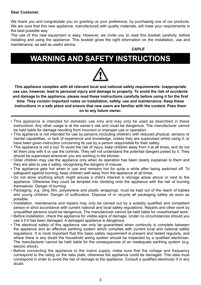#### **Dear Customer,**

We thank you and congratulate you on granting us your preference, by purchasing one of our products. We are sure that this new appliance, manufactured with quality materials, will meet your requirements in the best possible way.

The use of this new equipment is easy. However, we invite you to read this booklet carefully, before installing and using the appliance. This booklet gives the right information on the installation, use and maintenance, as well as useful advice.

*CAPLE*

## **wARNING AND SAFETY INSTRUCTIONS**



**This appliance complies with all relevant local and national safety requirements. Inappropriate use can, however, lead to personal injury and damage to property. To avoid the risk of accidents and damage to the appliance, please read these instructions carefully before using it for the first time. They contain important notes on installation, safety, use and maintenance. Keep these instructions in a safe place and ensure that new users are familiar with the content. Pass them on to any future owner.**

- This appliance is intended for domestic use only and may only be used as described in these instructions. Any other usage is at the owner's risk and could be dangerous. The manufacturer cannot be held liable for damage resulting from incorrect or improper use or operation.
- • This appliance is not intended for use by persons (including children) with reduced physical, sensory or mental capabilities, or lack of experience and knowledge, unless they are supervised whilst using it, or have been given instruction concerning its use by a person responsible for their safety.
- • This appliance is not a toy! To avoid the risk of injury, keep children away from it at all times, and do not let them play with it or use the controls. They will not understand the potential dangers posed by it. They should be supervised whenever you are working in the kitchen.
- • Older children may use the appliance only when its operation has been clearly explained to them and they are able to use it safely, recognising the dangers of misuse.
- The appliance gets hot when in use and remains hot for quite a while after being switched off. To safeguard against burning, keep children well away from the appliance at all times.
- • Do not store anything which might arouse a child's interest in storage areas above or next to the appliance. Otherwise they could be tempted into climbing onto the appliance with the risk of burning themselves. Danger of burning.
- Packaging, e.g. cling film, polystyrene and plastic wrappings, must be kept out of the reach of babies and young children. Danger of suffocation. Dispose of or recycle all packaging safely as soon as possible.
- Installation, maintenance and repairs may only be carried out by a suitably qualified and competent person in strict accordance with current national and local safety regulations. Repairs and other work by unqualified persons could be dangerous. The manufacturer cannot be held liable for unauthorised work.
- • Before installation, check the appliance for visible signs of damage. Under no circumstances should you use it if it has been damaged. A damaged appliance is dangerous.
- The electrical safety of this appliance can only be quaranteed when continuity is complete between the appliance and an effective earthing system which complies with current local and national safety regulations. It is most important that this basic safety requirement is present and tested regularly, and where there is any doubt the household wiring system should be inspected by a qualified electrician. The manufacturer cannot be held liable for the consequences of an inadequate earthing system (e.g. electric shock).
- Before connecting the appliance to the mains supply, make sure that the voltage and frequency correspond to the rating on the data plate, otherwise the appliance could be damaged. This data must correspond in order to avoid the risk of damage to the appliance. Consult a qualified electrician if in any doubt.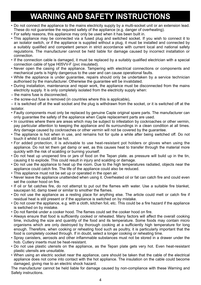# **wARNING AND SAFETY INSTRUCTIONS**

- • Do not connect the appliance to the mains electricity supply by a multi-socket unit or an extension lead. These do not guarantee the required safety of the appliance (e.g. danger of overheating).
- • For safety reasons, this appliance may only be used when it has been built in.
- This appliance may be connected via a fused plug and switched socket. If you wish to connect it to an isolator switch, or if the appliance is supplied without a plug, it must be installed and connected by a suitably qualified and competent person in strict accordance with current local and national safety regulations. The manufacturer cannot be held liable for damage caused by incorrect installation or connection.
- • If the connection cable is damaged, it must be replaced by a suitably qualified electrician with a special connection cable of type H05VV-F (pvc insulated).
- • Never open the casing of the appliance. Tampering with electrical connections or components and mechanical parts is highly dangerous to the user and can cause operational faults.
- While the appliance is under guarantee, repairs should only be undertaken by a service technician authorised by the manufacturer. Otherwise the guarantee will be invalidated.
- • During installation, maintenance and repair work, the appliance must be disconnected from the mains electricity supply. It is only completely isolated from the electricity supply when:
- the mains fuse is disconnected,
- the screw-out fuse is removed (in countries where this is applicable),
- it is switched off at the wall socket and the plug is withdrawn from the socket, or it is switched off at the isolator.
- • Faulty components must only be replaced by genuine Caple original spare parts. The manufacturer can only guarantee the safety of the appliance when Caple replacement parts are used.
- In countries where there are areas which may be subject to infestation by cockroaches or other vermin, pay particular attention to keeping the appliance and its surroundings in a clean condition at all times. Any damage caused by cockroaches or other vermin will not be covered by the guarantee.
- The appliance is hot when in use, and remains hot for quite a while after being switched off. Do not touch it whilst it could still be hot.
- For added protection, it is advisable to use heat-resistant pot holders or gloves when using the appliance. Do not let them get damp or wet, as this causes heat to transfer through the material more quickly with the risk of scalding or burning yourself.
- • Do not heat up unopened tins or jars of food on the Tepan plate. as pressure will build up in the tin, causing it to explode. This could result in injury and scalding or damage.
- • Do not use the appliance to heat up the room. Due to the high temperatures radiated, objects near the appliance could catch fire. The life of the appliance could also be reduced.
- This appliance must not be set up or operated in the open air.
- Never leave the appliance unattended when using it. Overheated oil or fat can catch fire and could even set the cooker hood on fire.
- If oil or fat catches fire, do not attempt to put out the flames with water. Use a suitable fire blanket, saucepan lid, damp towel or similar to smother the flames.
- • Do not use the appliance as a resting place for anything else. The article could melt or catch fire if residual heat is still present or if the appliance is switched on by mistake.
- • Do not cover the appliance, e.g. with a cloth, kitchen foil, etc. This could be a fire hazard if the appliance is switched on by mistake.
- • Do not flambé under a cooker hood. The flames could set the cooker hood on fire.
- • Always ensure that food is sufficiently cooked or reheated. Many factors will affect the overall cooking time, including the size and quantity of the food and its temperature. Some foods may contain micro organisms which are only destroyed by thorough cooking at a sufficiently high temperature for long enough. Therefore, when cooking or reheating food such as poultry, it is particularly important that the food is completely cooked through. If in doubt, select a longer cooking or reheating time.
- • Spray canisters, aerosols and other inflammable substances must not be stored in a drawer under the hob. Cutlery inserts must be heat-resistant.
- • Do not use plastic utensils on the appliance, as the Tepan plate gets very hot. Even heat-resistant plastic utensils are unsuitable.
- • When using an electric socket near the appliance, care should be taken that the cable of the electrical appliance does not come into contact with the hot appliance. The insulation on the cable could become damaged, giving rise to an electric shock hazard.

The manufacturer cannot be held liable for damage caused by non-compliance with these Warning and Safety instructions.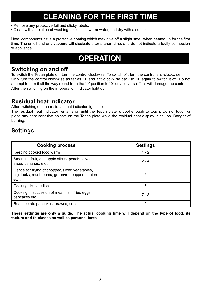# **CLEANING FOR THE FIRST TIME**

- Remove any protective foil and sticky labels.
- Clean with a solution of washing up liquid in warm water, and dry with a soft cloth.

Metal components have a protective coating which may give off a slight smell when heated up for the first time. The smell and any vapours will dissipate after a short time, and do not indicate a faulty connection or appliance.

## **OPERATION**

### **Switching on and off**

To switch the Tepan plate on, turn the control clockwise. To switch off, turn the control anti-clockwise. Only turn the control clockwise as far as "9" and anti-clockwise back to "0" again to switch it off. Do not attempt to turn it all the way round from the "9" position to "0" or vice versa. This will damage the control. After the switching on the in-operation indicator light up.

### **Residual heat indicator**

After switching off, the residual heat indicator lights up.

The residual heat indicator remains on until the Tepan plate is cool enough to touch. Do not touch or place any heat sensitive objects on the Tepan plate while the residual heat display is still on. Danger of burning.

### **Settings**

| <b>Cooking process</b>                                                                                     | <b>Settings</b> |
|------------------------------------------------------------------------------------------------------------|-----------------|
| Keeping cooked food warm                                                                                   | $1 - 2$         |
| Steaming fruit, e.g. apple slices, peach halves,<br>sliced bananas, etc                                    | $2 - 4$         |
| Gentle stir frying of chopped/sliced vegetables,<br>e.g. leeks, mushrooms, green/red peppers, onion<br>etc | 5               |
| Cooking delicate fish                                                                                      | 6               |
| Cooking in succesion of meat, fish, fried eggs,<br>pancakes etc.                                           | $7 - 8$         |
| Roast potato pancakes, prawns, cobs                                                                        | 9               |

**These settings are only a guide. The actual cooking time will depend on the type of food, its texture and thickness as well as personal taste.**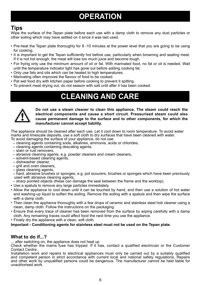## **OPERATION**

### **Tips**

Wipe the surface of the Tepan plate before each use with a damp cloth to remove any dust particles or other soiling which may have settled on it since it was last used.

- Pre-heat the Tepan plate thoroughly for 8 -10 minutes at the power level that you are going to be using for cooking.
- It is important to get the Tepan sufficiently hot before use, particularly when browning and sealing meat. If it is not hot enough, the meat will lose too much juice and become tough.
- For frying only use the minimum amount of oil or fat. With marinated food, no fat or oil is needed. Wait until the temperature indicator light has gone out before adding cooking fat.
- Only use fats and oils which can be heated to high temperatures.
- Marinating often improves the flavour of food to be cooked.
- Pat wet food dry with kitchen paper before cooking to prevent it spitting.
- • To prevent meat drying out, do not season with salt until after it has been cooked.

## **CLEANING AND CARE**



**Do not use a steam cleaner to clean this appliance. The steam could reach the electrical components and cause a short circuit. Pressurised steam could also cause permanent damage to the surface and to other components, for which the manufacturer cannot accept liability.**

The appliance should be cleaned after each use. Let it cool down to room temperature. To avoid water marks and limescale deposits, use a soft cloth to dry surfaces that have been cleaned with water. To avoid damaging the surface of your appliance, do not use:

- cleaning agents containing soda, alkalines, ammonia, acids or chlorides,
- cleaning agents containing descaling agents,
- stain or rust removers,
- abrasive cleaning agents, e.g. powder cleaners and cream cleaners,
- solvent-based cleaning agents,
- dishwasher cleaner,
- grill and oven cleaners,
- glass cleaning agents,
- hard, abrasive brushes or sponges, e.g. pot scourers, brushes or sponges which have been previously used with abrasive cleaning agents,
- sharp pointed objects (these can damage the seal between the frame and the worktop).
- • Use a spatula to remove any large particles immediately.
- • Allow the appliance to cool down until it can be touched by hand, and then use a solution of hot water and washing-up liquid to soften the soiling. Remove the soiling with a spatula and then wipe the surface with a damp cloth.
- Then clean the appliance thoroughly with a few drops of ceramic and stainless steel hob cleaner using a clean, damp cloth. Follow the instructions on the packaging.
- • Ensure that every trace of cleaner has been removed from the surface by wiping carefully with a damp cloth. Any remaining traces could affect food the next time you use the appliance.
- Finally dry the appliance with a clean, soft cloth.

**Important - Conditioning agents for stainless steel must not be used on the Tepan plate.**

### **What to do if...?**

... after switching on, the appliance does not heat up

Check whether the mains fuse has tripped. If it has, contact a qualified electrician or the Customer Contact Centre.

Installation work and repairs to electrical appliances must only be carried out by a suitably qualified and competent person in strict accordance with current local and national safety regulations. Repairs and other work by unqualified persons could be dangerous. The manufacturer cannot be held liable for unauthorised work.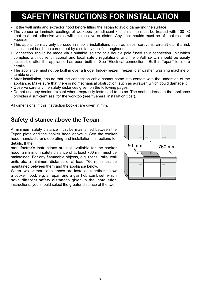- Fit the wall units and extractor hood before fitting the Tepan to avoid damaging the surface.
- The veneer or laminate coatings of worktops (or adjacent kitchen units) must be treated with 100 °C heat-resistant adhesive which will not dissolve or distort. Any backmoulds must be of heat-resistant material.
- • This appliance may only be used in mobile installations such as ships, caravans, aircraft etc. if a risk assessment has been carried out by a suitably qualified engineer.
- • Connection should be made via a suitable isolator or a double pole fused spur connection unit which complies with current national and local safety regulations, and the on/off switch should be easily accessible after the appliance has been built in. See "Electrical connection - Built-in Tepan" for more details.
- • The appliance must not be built in over a fridge, fridge-freezer, freezer, dishwasher, washing machine or tumble dryer.
- • After installation, ensure that the connection cable cannot come into contact with the underside of the appliance. Make sure that there is no mechanical obstruction, such as adrawer, which could damage it.
- • Observe carefully the safety distances given on the following pages.
- • Do not use any sealant except where expressly instructed to do so. The seal underneath the appliance provides a sufficient seal for the worktop (see "General installation tips").

All dimensions in this instruction booklet are given in mm.

### **Safety distance above the Tepan**

A minimum safety distance must be maintained between the Tepan plate and the cooker hood above it. See the cooker hood manufacturer's operating and installation instructions for details. If the

manufactrer's instructions are not available for the cooker hood, a minimum safety distance of at least 760 mm must be maintained. For any flammable objects, e.g. utensil rails, wall units etc. a minimum distance of at least 760 mm must be maintained between them and the appliance below.

When two or more appliances are installed together below a cooker hood, e.g. a Tepan and a gas hob combiset, which have different safety distances given in the installation instructions, you should select the greater distance of the two

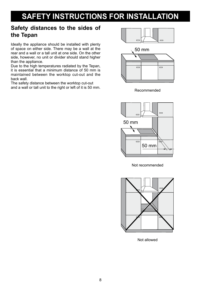## **Safety distances to the sides of the Tepan**

Ideally the appliance should be installed with plenty of space on either side. There may be a wall at the rear and a wall or a tall unit at one side. On the other side, however, no unit or divider should stand higher than the appliance.

Due to the high temperatures radiated by the Tepan, it is essential that a minimum distance of 50 mm is maintained between the worktop cut-out and the back wall.

The safety distance between the worktop cut-out and a wall or tall unit to the right or left of it is 50 mm.



50 mm  $\overline{\phantom{a}}$  $\overline{\phantom{0}}$ 

Recommended



Not recommended



Not allowed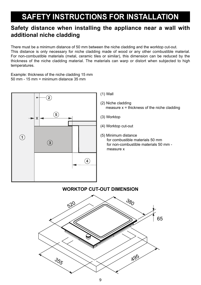## **Safety distance when installing the appliance near a wall with additional niche cladding**

There must be a minimum distance of 50 mm between the niche cladding and the worktop cut-out. This distance is only necessary for niche cladding made of wood or any other combustible material. For non-combustible materials (metal, ceramic tiles or similar), this dimension can be reduced by the thickness of the niche cladding material. The materials can warp or distort when subjected to high temperatures.

Example: thickness of the niche cladding 15 mm 50 mm - 15 mm = minimum distance 35 mm



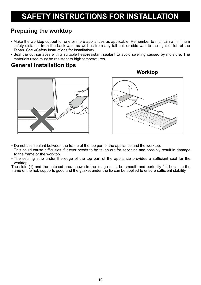### **Preparing the worktop**

- • Make the worktop cut-out for one or more appliances as applicable. Remember to maintain a minimum safety distance from the back wall, as well as from any tall unit or side wall to the right or left of the Tepan. See «Safety instructions for installation».
- • Seal the cut surfaces with a suitable heat-resistant sealant to avoid swelling caused by moisture. The materials used must be resistant to high temperatures.

### **General installation tips**





- • Do not use sealant between the frame of the top part of the appliance and the worktop.
- This could cause difficulties if it ever needs to be taken out for servicing and possibly result in damage to the frame or the worktop.
- The sealing strip under the edge of the top part of the appliance provides a sufficient seal for the worktop.

The slots (1) and the hatched area shown in the image must be smooth and perfectly flat because the frame of the hob supports good and the gasket under the lip can be applied to ensure sufficient stability.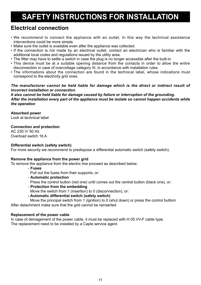### **Electrical connection**

- • We recommend to connect the appliance with an outlet. In this way the technical assistance interventions could be more simple.
- Make sure the outlet is available even after the appliance was collected.
- If the connection is not made by an electrical outlet, contact an electrician who is familiar with the additional local codes and regulations issued by the utility area.
- The fitter may have to settle a switch in case the plug is no longer accessible after the built-in.
- • This device must be at a suitable opening distance from the contacts in order to allow the entire disconnection in case of overvoltage category III, in accordance with installation rules.
- The informations about the connection are found in the technical label, whose indications must correspond to the electricity grid ones.

### *The manufacturer cannot be held liable for damage which is the direct or indirect result of incorrect installation or connection.*

#### *It also cannot be held liable for damage caused by failure or interruption of the grounding. After the installation every part of the appliance must be isolate so cannot happen accidents while the operation*

### **Absorbed power**

Look at technical label

#### **Connection and protection**

AC 230 V/ 50 Hz Overload switch 16 A

### **Differential switch (safety switch)**

For more security we recommend to predispose a differential automatic switch (safety switch).

#### **Remove the appliance from the power grid**

To remove the appliance from the electric line proceed as described below:

- **Fuses** 

Pull out the fuses from their supports, or:

- **Automatic protection**

Press the control button (red one) until comes out the central button (black one), or:

- **Protection from the embedding**

Move the switch from 1 (insertion) to 0 (disconnection), or:

**- Automatic differential switch (safety switch)**

 Move the principal switch from 1 (ignition) to 0 (shut down) or press the control buttom After detachment make sure that the grid cannot be reinserted

#### **Replacement of the power cable**

In case of demagement of the power cable, it must be replaced with H 05 VV-F cable type. The replacement need to be installed by a Caple service agent.